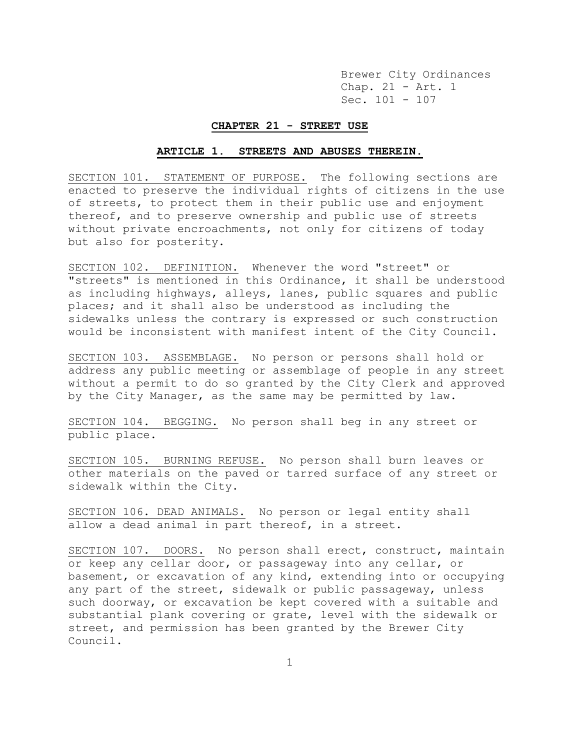Brewer City Ordinances Chap. 21 - Art. 1 Sec. 101 - 107

#### **CHAPTER 21 - STREET USE**

#### **ARTICLE 1. STREETS AND ABUSES THEREIN.**

SECTION 101. STATEMENT OF PURPOSE. The following sections are enacted to preserve the individual rights of citizens in the use of streets, to protect them in their public use and enjoyment thereof, and to preserve ownership and public use of streets without private encroachments, not only for citizens of today but also for posterity.

SECTION 102. DEFINITION. Whenever the word "street" or "streets" is mentioned in this Ordinance, it shall be understood as including highways, alleys, lanes, public squares and public places; and it shall also be understood as including the sidewalks unless the contrary is expressed or such construction would be inconsistent with manifest intent of the City Council.

SECTION 103. ASSEMBLAGE. No person or persons shall hold or address any public meeting or assemblage of people in any street without a permit to do so granted by the City Clerk and approved by the City Manager, as the same may be permitted by law.

SECTION 104. BEGGING. No person shall beg in any street or public place.

SECTION 105. BURNING REFUSE. No person shall burn leaves or other materials on the paved or tarred surface of any street or sidewalk within the City.

SECTION 106. DEAD ANIMALS. No person or legal entity shall allow a dead animal in part thereof, in a street.

SECTION 107. DOORS. No person shall erect, construct, maintain or keep any cellar door, or passageway into any cellar, or basement, or excavation of any kind, extending into or occupying any part of the street, sidewalk or public passageway, unless such doorway, or excavation be kept covered with a suitable and substantial plank covering or grate, level with the sidewalk or street, and permission has been granted by the Brewer City Council.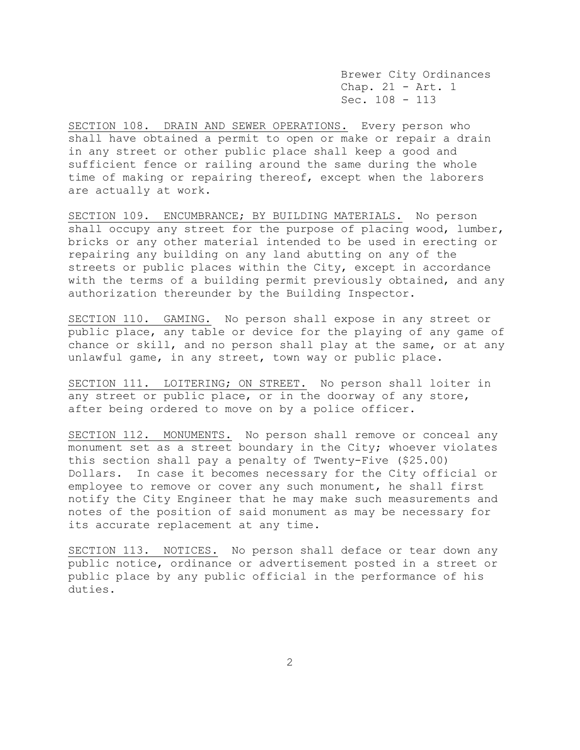Brewer City Ordinances Chap. 21 - Art. 1 Sec. 108 - 113

SECTION 108. DRAIN AND SEWER OPERATIONS. Every person who shall have obtained a permit to open or make or repair a drain in any street or other public place shall keep a good and sufficient fence or railing around the same during the whole time of making or repairing thereof, except when the laborers are actually at work.

SECTION 109. ENCUMBRANCE; BY BUILDING MATERIALS. No person shall occupy any street for the purpose of placing wood, lumber, bricks or any other material intended to be used in erecting or repairing any building on any land abutting on any of the streets or public places within the City, except in accordance with the terms of a building permit previously obtained, and any authorization thereunder by the Building Inspector.

SECTION 110. GAMING. No person shall expose in any street or public place, any table or device for the playing of any game of chance or skill, and no person shall play at the same, or at any unlawful game, in any street, town way or public place.

SECTION 111. LOITERING; ON STREET. No person shall loiter in any street or public place, or in the doorway of any store, after being ordered to move on by a police officer.

SECTION 112. MONUMENTS. No person shall remove or conceal any monument set as a street boundary in the City; whoever violates this section shall pay a penalty of Twenty-Five (\$25.00) Dollars. In case it becomes necessary for the City official or employee to remove or cover any such monument, he shall first notify the City Engineer that he may make such measurements and notes of the position of said monument as may be necessary for its accurate replacement at any time.

SECTION 113. NOTICES. No person shall deface or tear down any public notice, ordinance or advertisement posted in a street or public place by any public official in the performance of his duties.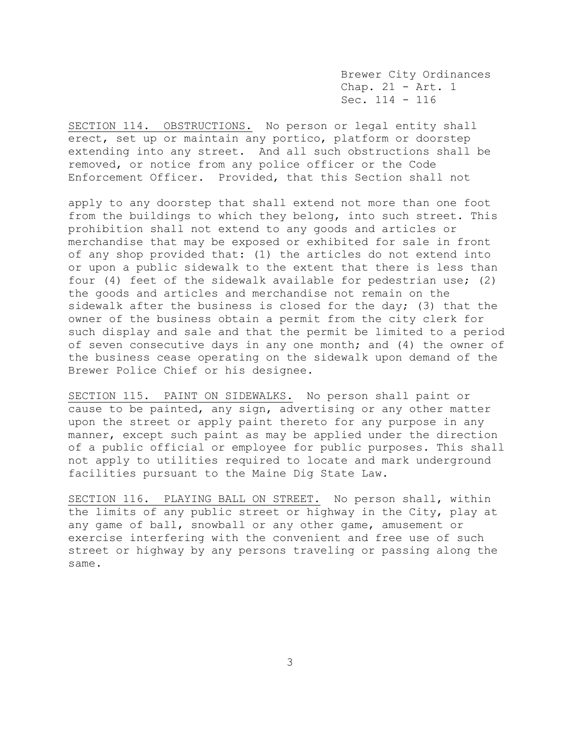Brewer City Ordinances Chap. 21 - Art. 1 Sec. 114 - 116

SECTION 114. OBSTRUCTIONS. No person or legal entity shall erect, set up or maintain any portico, platform or doorstep extending into any street. And all such obstructions shall be removed, or notice from any police officer or the Code Enforcement Officer. Provided, that this Section shall not

apply to any doorstep that shall extend not more than one foot from the buildings to which they belong, into such street. This prohibition shall not extend to any goods and articles or merchandise that may be exposed or exhibited for sale in front of any shop provided that: (1) the articles do not extend into or upon a public sidewalk to the extent that there is less than four (4) feet of the sidewalk available for pedestrian use; (2) the goods and articles and merchandise not remain on the sidewalk after the business is closed for the day; (3) that the owner of the business obtain a permit from the city clerk for such display and sale and that the permit be limited to a period of seven consecutive days in any one month; and (4) the owner of the business cease operating on the sidewalk upon demand of the Brewer Police Chief or his designee.

SECTION 115. PAINT ON SIDEWALKS. No person shall paint or cause to be painted, any sign, advertising or any other matter upon the street or apply paint thereto for any purpose in any manner, except such paint as may be applied under the direction of a public official or employee for public purposes. This shall not apply to utilities required to locate and mark underground facilities pursuant to the Maine Dig State Law.

SECTION 116. PLAYING BALL ON STREET. No person shall, within the limits of any public street or highway in the City, play at any game of ball, snowball or any other game, amusement or exercise interfering with the convenient and free use of such street or highway by any persons traveling or passing along the same.

3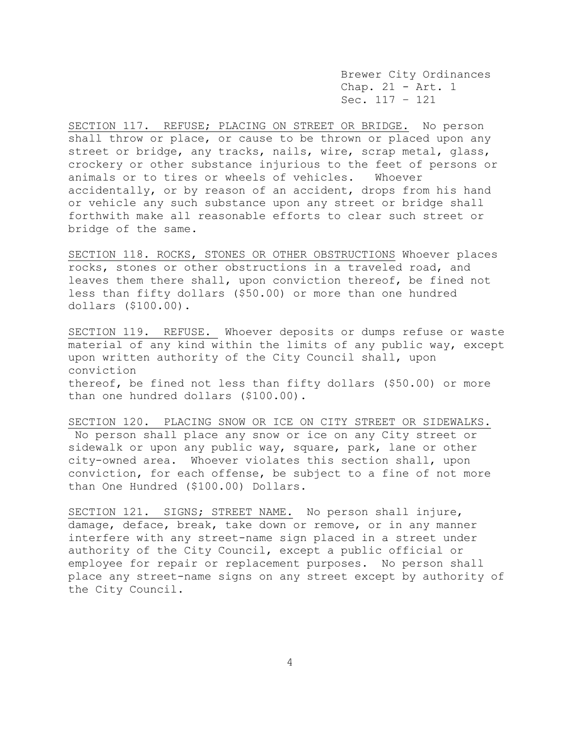Brewer City Ordinances Chap. 21 - Art. 1 Sec. 117 – 121

SECTION 117. REFUSE; PLACING ON STREET OR BRIDGE. No person shall throw or place, or cause to be thrown or placed upon any street or bridge, any tracks, nails, wire, scrap metal, glass, crockery or other substance injurious to the feet of persons or animals or to tires or wheels of vehicles. Whoever accidentally, or by reason of an accident, drops from his hand or vehicle any such substance upon any street or bridge shall forthwith make all reasonable efforts to clear such street or bridge of the same.

SECTION 118. ROCKS, STONES OR OTHER OBSTRUCTIONS Whoever places rocks, stones or other obstructions in a traveled road, and leaves them there shall, upon conviction thereof, be fined not less than fifty dollars (\$50.00) or more than one hundred dollars (\$100.00).

SECTION 119. REFUSE. Whoever deposits or dumps refuse or waste material of any kind within the limits of any public way, except upon written authority of the City Council shall, upon conviction thereof, be fined not less than fifty dollars (\$50.00) or more than one hundred dollars (\$100.00).

SECTION 120. PLACING SNOW OR ICE ON CITY STREET OR SIDEWALKS. No person shall place any snow or ice on any City street or sidewalk or upon any public way, square, park, lane or other city-owned area. Whoever violates this section shall, upon conviction, for each offense, be subject to a fine of not more than One Hundred (\$100.00) Dollars.

SECTION 121. SIGNS; STREET NAME. No person shall injure, damage, deface, break, take down or remove, or in any manner interfere with any street-name sign placed in a street under authority of the City Council, except a public official or employee for repair or replacement purposes. No person shall place any street-name signs on any street except by authority of the City Council.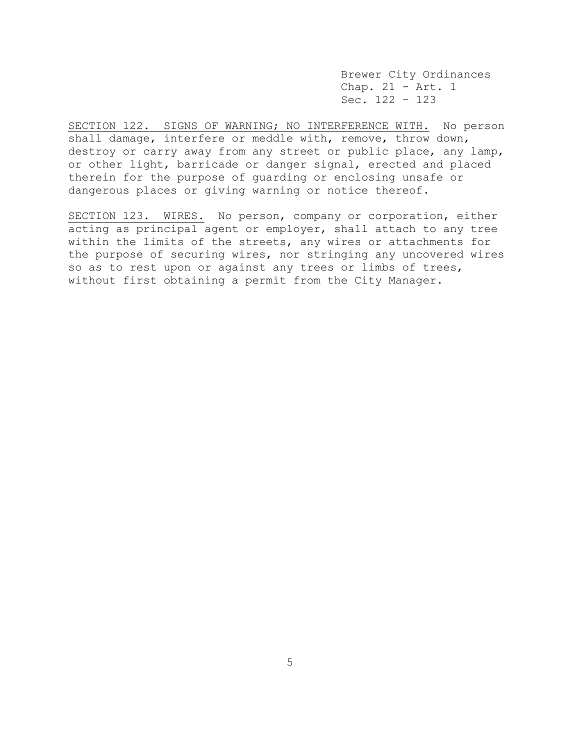Brewer City Ordinances Chap. 21 - Art. 1 Sec. 122 – 123

SECTION 122. SIGNS OF WARNING; NO INTERFERENCE WITH. No person shall damage, interfere or meddle with, remove, throw down, destroy or carry away from any street or public place, any lamp, or other light, barricade or danger signal, erected and placed therein for the purpose of guarding or enclosing unsafe or dangerous places or giving warning or notice thereof.

SECTION 123. WIRES. No person, company or corporation, either acting as principal agent or employer, shall attach to any tree within the limits of the streets, any wires or attachments for the purpose of securing wires, nor stringing any uncovered wires so as to rest upon or against any trees or limbs of trees, without first obtaining a permit from the City Manager.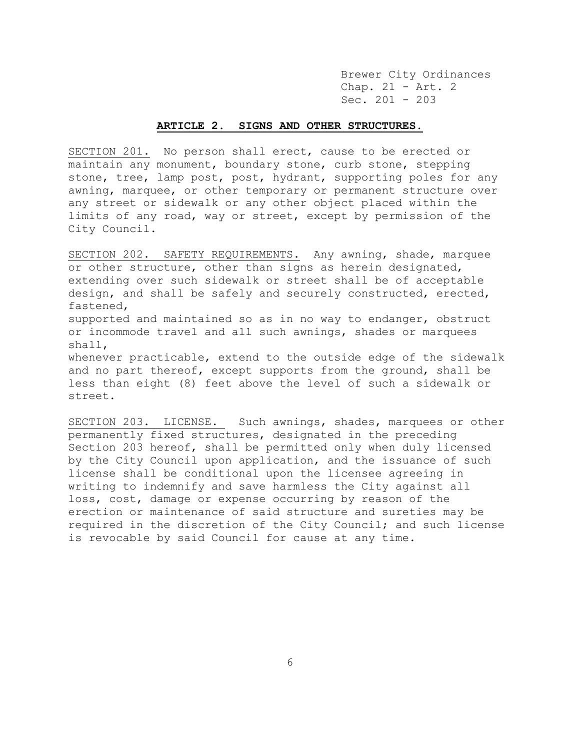Brewer City Ordinances Chap. 21 - Art. 2 Sec. 201 - 203

### **ARTICLE 2. SIGNS AND OTHER STRUCTURES.**

SECTION 201. No person shall erect, cause to be erected or maintain any monument, boundary stone, curb stone, stepping stone, tree, lamp post, post, hydrant, supporting poles for any awning, marquee, or other temporary or permanent structure over any street or sidewalk or any other object placed within the limits of any road, way or street, except by permission of the City Council.

SECTION 202. SAFETY REQUIREMENTS. Any awning, shade, marquee or other structure, other than signs as herein designated, extending over such sidewalk or street shall be of acceptable design, and shall be safely and securely constructed, erected, fastened, supported and maintained so as in no way to endanger, obstruct or incommode travel and all such awnings, shades or marquees shall, whenever practicable, extend to the outside edge of the sidewalk

and no part thereof, except supports from the ground, shall be less than eight (8) feet above the level of such a sidewalk or street.

SECTION 203. LICENSE. Such awnings, shades, marquees or other permanently fixed structures, designated in the preceding Section 203 hereof, shall be permitted only when duly licensed by the City Council upon application, and the issuance of such license shall be conditional upon the licensee agreeing in writing to indemnify and save harmless the City against all loss, cost, damage or expense occurring by reason of the erection or maintenance of said structure and sureties may be required in the discretion of the City Council; and such license is revocable by said Council for cause at any time.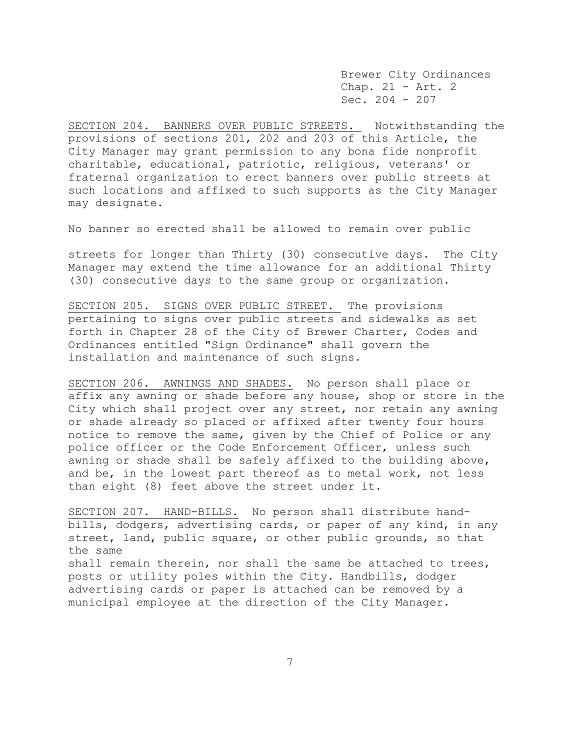Brewer City Ordinances Chap. 21 - Art. 2 Sec. 204 - 207

SECTION 204. BANNERS OVER PUBLIC STREETS. Notwithstanding the provisions of sections 201, 202 and 203 of this Article, the City Manager may grant permission to any bona fide nonprofit charitable, educational, patriotic, religious, veterans' or fraternal organization to erect banners over public streets at such locations and affixed to such supports as the City Manager may designate.

No banner so erected shall be allowed to remain over public

streets for longer than Thirty (30) consecutive days. The City Manager may extend the time allowance for an additional Thirty (30) consecutive days to the same group or organization.

SECTION 205. SIGNS OVER PUBLIC STREET. The provisions pertaining to signs over public streets and sidewalks as set forth in Chapter 28 of the City of Brewer Charter, Codes and Ordinances entitled "Sign Ordinance" shall govern the installation and maintenance of such signs.

SECTION 206. AWNINGS AND SHADES. No person shall place or affix any awning or shade before any house, shop or store in the City which shall project over any street, nor retain any awning or shade already so placed or affixed after twenty four hours notice to remove the same, given by the Chief of Police or any police officer or the Code Enforcement Officer, unless such awning or shade shall be safely affixed to the building above, and be, in the lowest part thereof as to metal work, not less than eight (8) feet above the street under it.

SECTION 207. HAND-BILLS. No person shall distribute handbills, dodgers, advertising cards, or paper of any kind, in any street, land, public square, or other public grounds, so that the same shall remain therein, nor shall the same be attached to trees, posts or utility poles within the City. Handbills, dodger advertising cards or paper is attached can be removed by a municipal employee at the direction of the City Manager.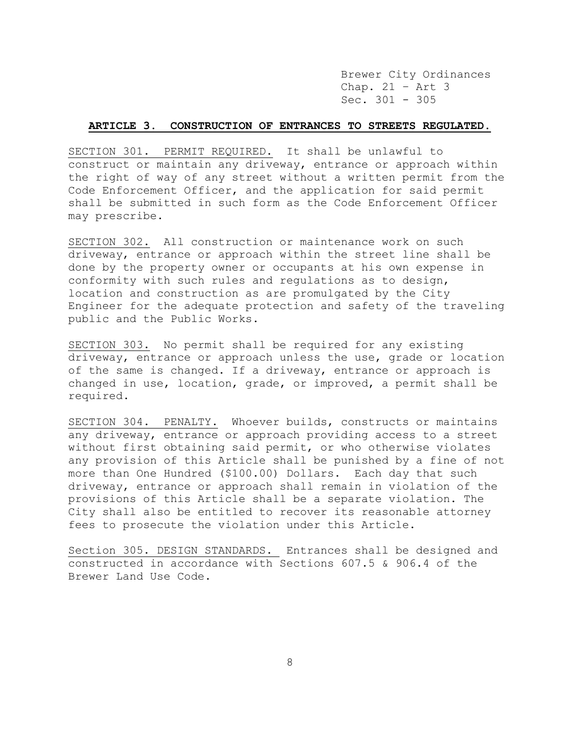Brewer City Ordinances Chap. 21 – Art 3 Sec. 301 - 305

# **ARTICLE 3. CONSTRUCTION OF ENTRANCES TO STREETS REGULATED.**

SECTION 301. PERMIT REQUIRED. It shall be unlawful to construct or maintain any driveway, entrance or approach within the right of way of any street without a written permit from the Code Enforcement Officer, and the application for said permit shall be submitted in such form as the Code Enforcement Officer may prescribe.

SECTION 302. All construction or maintenance work on such driveway, entrance or approach within the street line shall be done by the property owner or occupants at his own expense in conformity with such rules and regulations as to design, location and construction as are promulgated by the City Engineer for the adequate protection and safety of the traveling public and the Public Works.

SECTION 303. No permit shall be required for any existing driveway, entrance or approach unless the use, grade or location of the same is changed. If a driveway, entrance or approach is changed in use, location, grade, or improved, a permit shall be required.

SECTION 304. PENALTY. Whoever builds, constructs or maintains any driveway, entrance or approach providing access to a street without first obtaining said permit, or who otherwise violates any provision of this Article shall be punished by a fine of not more than One Hundred (\$100.00) Dollars. Each day that such driveway, entrance or approach shall remain in violation of the provisions of this Article shall be a separate violation. The City shall also be entitled to recover its reasonable attorney fees to prosecute the violation under this Article.

Section 305. DESIGN STANDARDS. Entrances shall be designed and constructed in accordance with Sections 607.5 & 906.4 of the Brewer Land Use Code.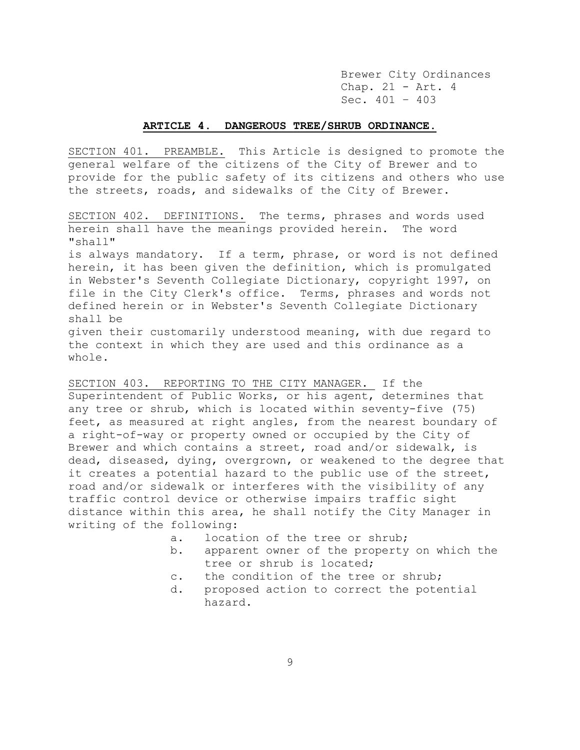Brewer City Ordinances Chap. 21 - Art. 4 Sec. 401 – 403

## **ARTICLE 4. DANGEROUS TREE/SHRUB ORDINANCE.**

SECTION 401. PREAMBLE. This Article is designed to promote the general welfare of the citizens of the City of Brewer and to provide for the public safety of its citizens and others who use the streets, roads, and sidewalks of the City of Brewer.

SECTION 402. DEFINITIONS. The terms, phrases and words used herein shall have the meanings provided herein. The word "shall"

is always mandatory. If a term, phrase, or word is not defined herein, it has been given the definition, which is promulgated in Webster's Seventh Collegiate Dictionary, copyright 1997, on file in the City Clerk's office. Terms, phrases and words not defined herein or in Webster's Seventh Collegiate Dictionary shall be

given their customarily understood meaning, with due regard to the context in which they are used and this ordinance as a whole.

SECTION 403. REPORTING TO THE CITY MANAGER. If the Superintendent of Public Works, or his agent, determines that any tree or shrub, which is located within seventy-five (75) feet, as measured at right angles, from the nearest boundary of a right-of-way or property owned or occupied by the City of Brewer and which contains a street, road and/or sidewalk, is dead, diseased, dying, overgrown, or weakened to the degree that it creates a potential hazard to the public use of the street, road and/or sidewalk or interferes with the visibility of any traffic control device or otherwise impairs traffic sight distance within this area, he shall notify the City Manager in writing of the following:

- a. location of the tree or shrub;
- b. apparent owner of the property on which the tree or shrub is located;
- c. the condition of the tree or shrub;
- d. proposed action to correct the potential hazard.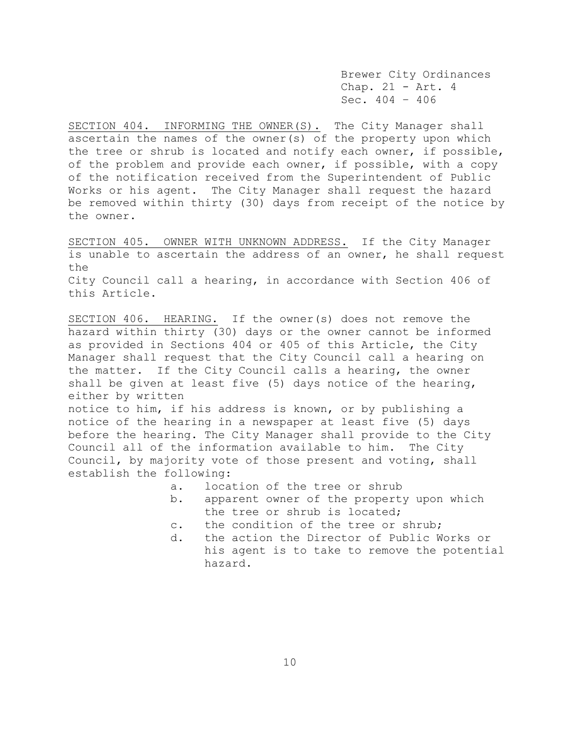Brewer City Ordinances Chap. 21 - Art. 4 Sec. 404 – 406

SECTION 404. INFORMING THE OWNER(S). The City Manager shall ascertain the names of the owner(s) of the property upon which the tree or shrub is located and notify each owner, if possible, of the problem and provide each owner, if possible, with a copy of the notification received from the Superintendent of Public Works or his agent. The City Manager shall request the hazard be removed within thirty (30) days from receipt of the notice by the owner.

SECTION 405. OWNER WITH UNKNOWN ADDRESS. If the City Manager is unable to ascertain the address of an owner, he shall request the City Council call a hearing, in accordance with Section 406 of this Article.

SECTION 406. HEARING. If the owner(s) does not remove the hazard within thirty (30) days or the owner cannot be informed as provided in Sections 404 or 405 of this Article, the City Manager shall request that the City Council call a hearing on the matter. If the City Council calls a hearing, the owner shall be given at least five (5) days notice of the hearing, either by written

notice to him, if his address is known, or by publishing a notice of the hearing in a newspaper at least five (5) days before the hearing. The City Manager shall provide to the City Council all of the information available to him. The City Council, by majority vote of those present and voting, shall establish the following:

- a. location of the tree or shrub
- b. apparent owner of the property upon which the tree or shrub is located;
- c. the condition of the tree or shrub;
- d. the action the Director of Public Works or his agent is to take to remove the potential hazard.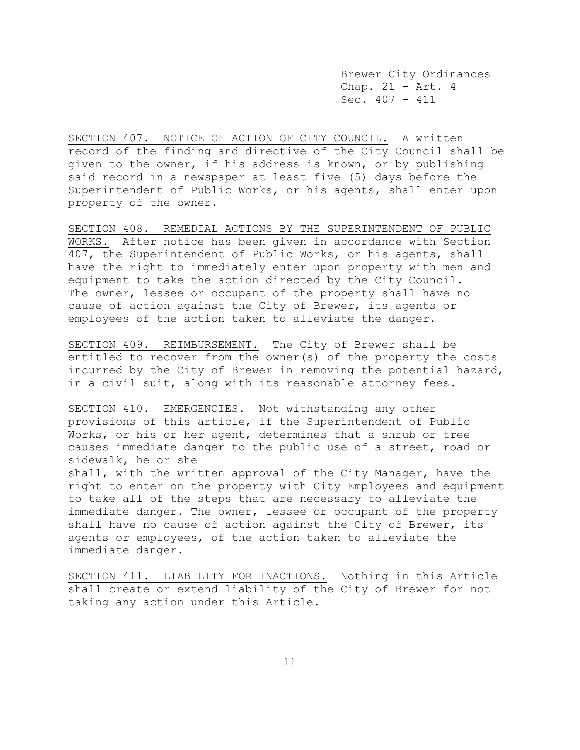Brewer City Ordinances Chap. 21 - Art. 4 Sec. 407 – 411

SECTION 407. NOTICE OF ACTION OF CITY COUNCIL. A written record of the finding and directive of the City Council shall be given to the owner, if his address is known, or by publishing said record in a newspaper at least five (5) days before the Superintendent of Public Works, or his agents, shall enter upon property of the owner.

SECTION 408. REMEDIAL ACTIONS BY THE SUPERINTENDENT OF PUBLIC WORKS. After notice has been given in accordance with Section 407, the Superintendent of Public Works, or his agents, shall have the right to immediately enter upon property with men and equipment to take the action directed by the City Council. The owner, lessee or occupant of the property shall have no cause of action against the City of Brewer, its agents or employees of the action taken to alleviate the danger.

SECTION 409. REIMBURSEMENT. The City of Brewer shall be entitled to recover from the owner(s) of the property the costs incurred by the City of Brewer in removing the potential hazard, in a civil suit, along with its reasonable attorney fees.

SECTION 410. EMERGENCIES. Not withstanding any other provisions of this article, if the Superintendent of Public Works, or his or her agent, determines that a shrub or tree causes immediate danger to the public use of a street, road or sidewalk, he or she shall, with the written approval of the City Manager, have the right to enter on the property with City Employees and equipment to take all of the steps that are necessary to alleviate the immediate danger. The owner, lessee or occupant of the property shall have no cause of action against the City of Brewer, its agents or employees, of the action taken to alleviate the immediate danger.

SECTION 411. LIABILITY FOR INACTIONS. Nothing in this Article shall create or extend liability of the City of Brewer for not taking any action under this Article.

11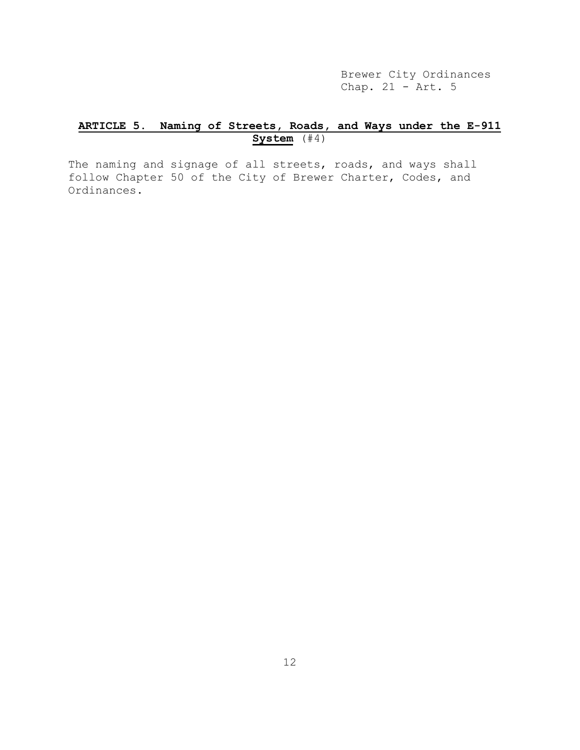Brewer City Ordinances Chap.  $21 - \text{Art. } 5$ 

# **ARTICLE 5. Naming of Streets, Roads, and Ways under the E-911 System** (#4)

The naming and signage of all streets, roads, and ways shall follow Chapter 50 of the City of Brewer Charter, Codes, and Ordinances.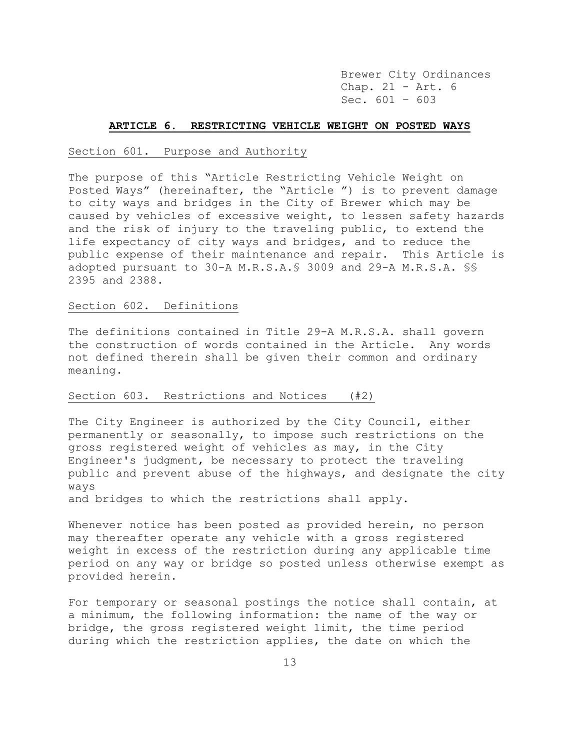Brewer City Ordinances Chap. 21 - Art. 6 Sec. 601 – 603

#### **ARTICLE 6. RESTRICTING VEHICLE WEIGHT ON POSTED WAYS**

#### Section 601. Purpose and Authority

The purpose of this "Article Restricting Vehicle Weight on Posted Ways" (hereinafter, the "Article ") is to prevent damage to city ways and bridges in the City of Brewer which may be caused by vehicles of excessive weight, to lessen safety hazards and the risk of injury to the traveling public, to extend the life expectancy of city ways and bridges, and to reduce the public expense of their maintenance and repair. This Article is adopted pursuant to 30-A M.R.S.A.§ 3009 and 29-A M.R.S.A. §§ 2395 and 2388.

#### Section 602. Definitions

The definitions contained in Title 29-A M.R.S.A. shall govern the construction of words contained in the Article. Any words not defined therein shall be given their common and ordinary meaning.

## Section 603. Restrictions and Notices (#2)

The City Engineer is authorized by the City Council, either permanently or seasonally, to impose such restrictions on the gross registered weight of vehicles as may, in the City Engineer's judgment, be necessary to protect the traveling public and prevent abuse of the highways, and designate the city ways

and bridges to which the restrictions shall apply.

Whenever notice has been posted as provided herein, no person may thereafter operate any vehicle with a gross registered weight in excess of the restriction during any applicable time period on any way or bridge so posted unless otherwise exempt as provided herein.

For temporary or seasonal postings the notice shall contain, at a minimum, the following information: the name of the way or bridge, the gross registered weight limit, the time period during which the restriction applies, the date on which the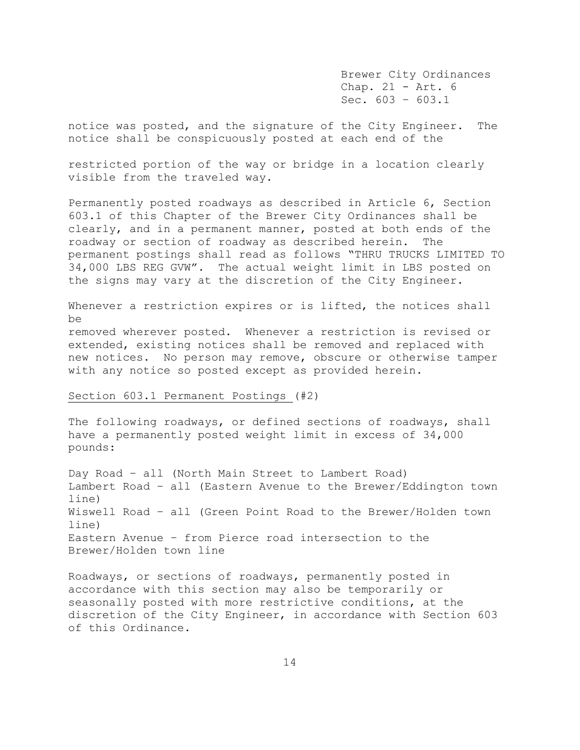Brewer City Ordinances Chap. 21 - Art. 6 Sec.  $603 - 603.1$ 

notice was posted, and the signature of the City Engineer. The notice shall be conspicuously posted at each end of the

restricted portion of the way or bridge in a location clearly visible from the traveled way.

Permanently posted roadways as described in Article 6, Section 603.1 of this Chapter of the Brewer City Ordinances shall be clearly, and in a permanent manner, posted at both ends of the roadway or section of roadway as described herein. The permanent postings shall read as follows "THRU TRUCKS LIMITED TO 34,000 LBS REG GVW". The actual weight limit in LBS posted on the signs may vary at the discretion of the City Engineer.

Whenever a restriction expires or is lifted, the notices shall be removed wherever posted. Whenever a restriction is revised or extended, existing notices shall be removed and replaced with new notices. No person may remove, obscure or otherwise tamper with any notice so posted except as provided herein.

## Section 603.1 Permanent Postings (#2)

The following roadways, or defined sections of roadways, shall have a permanently posted weight limit in excess of 34,000 pounds:

Day Road – all (North Main Street to Lambert Road) Lambert Road – all (Eastern Avenue to the Brewer/Eddington town line) Wiswell Road – all (Green Point Road to the Brewer/Holden town line) Eastern Avenue – from Pierce road intersection to the Brewer/Holden town line

Roadways, or sections of roadways, permanently posted in accordance with this section may also be temporarily or seasonally posted with more restrictive conditions, at the discretion of the City Engineer, in accordance with Section 603 of this Ordinance.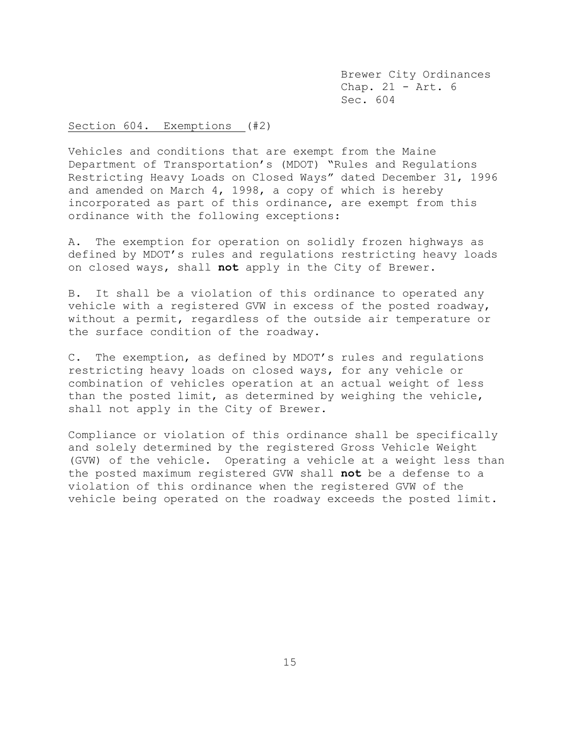Brewer City Ordinances Chap. 21 - Art. 6 Sec. 604

Section 604. Exemptions (#2)

Vehicles and conditions that are exempt from the Maine Department of Transportation's (MDOT) "Rules and Regulations Restricting Heavy Loads on Closed Ways" dated December 31, 1996 and amended on March 4, 1998, a copy of which is hereby incorporated as part of this ordinance, are exempt from this ordinance with the following exceptions:

A. The exemption for operation on solidly frozen highways as defined by MDOT's rules and regulations restricting heavy loads on closed ways, shall **not** apply in the City of Brewer.

B. It shall be a violation of this ordinance to operated any vehicle with a registered GVW in excess of the posted roadway, without a permit, regardless of the outside air temperature or the surface condition of the roadway.

C. The exemption, as defined by MDOT's rules and regulations restricting heavy loads on closed ways, for any vehicle or combination of vehicles operation at an actual weight of less than the posted limit, as determined by weighing the vehicle, shall not apply in the City of Brewer.

Compliance or violation of this ordinance shall be specifically and solely determined by the registered Gross Vehicle Weight (GVW) of the vehicle. Operating a vehicle at a weight less than the posted maximum registered GVW shall **not** be a defense to a violation of this ordinance when the registered GVW of the vehicle being operated on the roadway exceeds the posted limit.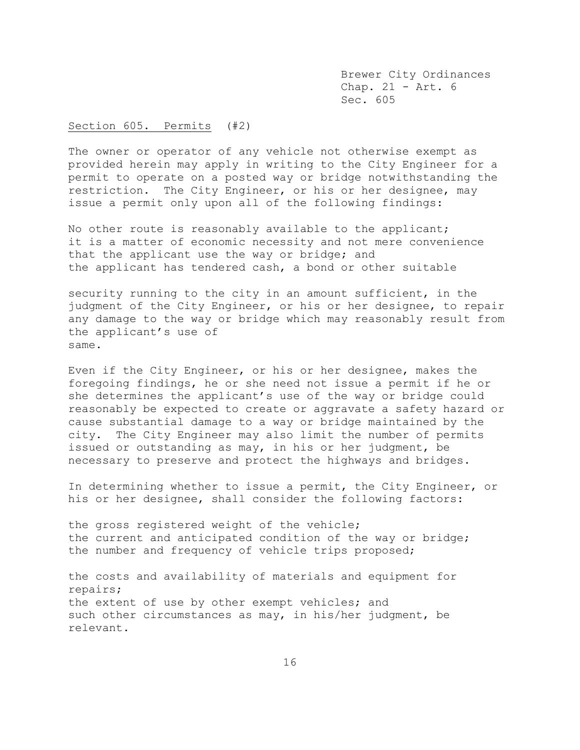Brewer City Ordinances Chap. 21 - Art. 6 Sec. 605

### Section 605. Permits (#2)

The owner or operator of any vehicle not otherwise exempt as provided herein may apply in writing to the City Engineer for a permit to operate on a posted way or bridge notwithstanding the restriction. The City Engineer, or his or her designee, may issue a permit only upon all of the following findings:

No other route is reasonably available to the applicant; it is a matter of economic necessity and not mere convenience that the applicant use the way or bridge; and the applicant has tendered cash, a bond or other suitable

security running to the city in an amount sufficient, in the judgment of the City Engineer, or his or her designee, to repair any damage to the way or bridge which may reasonably result from the applicant's use of same.

Even if the City Engineer, or his or her designee, makes the foregoing findings, he or she need not issue a permit if he or she determines the applicant's use of the way or bridge could reasonably be expected to create or aggravate a safety hazard or cause substantial damage to a way or bridge maintained by the city. The City Engineer may also limit the number of permits issued or outstanding as may, in his or her judgment, be necessary to preserve and protect the highways and bridges.

In determining whether to issue a permit, the City Engineer, or his or her designee, shall consider the following factors:

the gross registered weight of the vehicle; the current and anticipated condition of the way or bridge; the number and frequency of vehicle trips proposed;

the costs and availability of materials and equipment for repairs; the extent of use by other exempt vehicles; and such other circumstances as may, in his/her judgment, be relevant.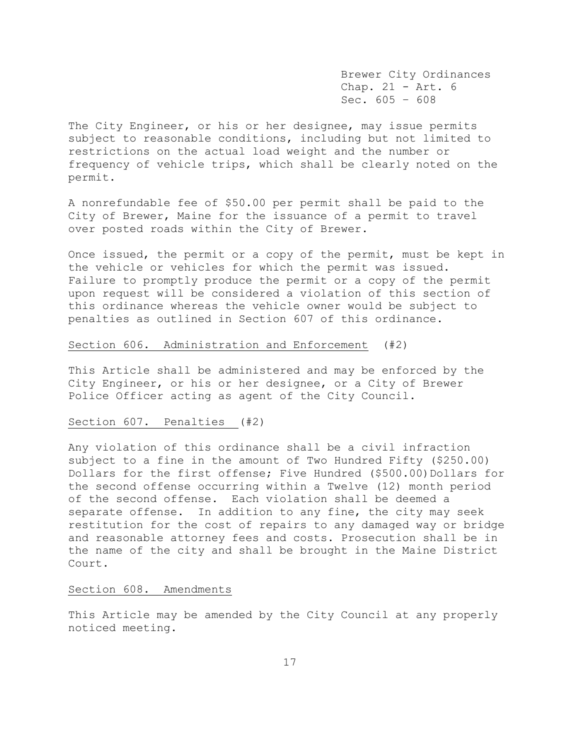Brewer City Ordinances Chap. 21 - Art. 6 Sec. 605 – 608

The City Engineer, or his or her designee, may issue permits subject to reasonable conditions, including but not limited to restrictions on the actual load weight and the number or frequency of vehicle trips, which shall be clearly noted on the permit.

A nonrefundable fee of \$50.00 per permit shall be paid to the City of Brewer, Maine for the issuance of a permit to travel over posted roads within the City of Brewer.

Once issued, the permit or a copy of the permit, must be kept in the vehicle or vehicles for which the permit was issued. Failure to promptly produce the permit or a copy of the permit upon request will be considered a violation of this section of this ordinance whereas the vehicle owner would be subject to penalties as outlined in Section 607 of this ordinance.

### Section 606. Administration and Enforcement (#2)

This Article shall be administered and may be enforced by the City Engineer, or his or her designee, or a City of Brewer Police Officer acting as agent of the City Council.

#### Section 607. Penalties (#2)

Any violation of this ordinance shall be a civil infraction subject to a fine in the amount of Two Hundred Fifty (\$250.00) Dollars for the first offense; Five Hundred (\$500.00)Dollars for the second offense occurring within a Twelve (12) month period of the second offense. Each violation shall be deemed a separate offense. In addition to any fine, the city may seek restitution for the cost of repairs to any damaged way or bridge and reasonable attorney fees and costs. Prosecution shall be in the name of the city and shall be brought in the Maine District Court.

# Section 608. Amendments

This Article may be amended by the City Council at any properly noticed meeting.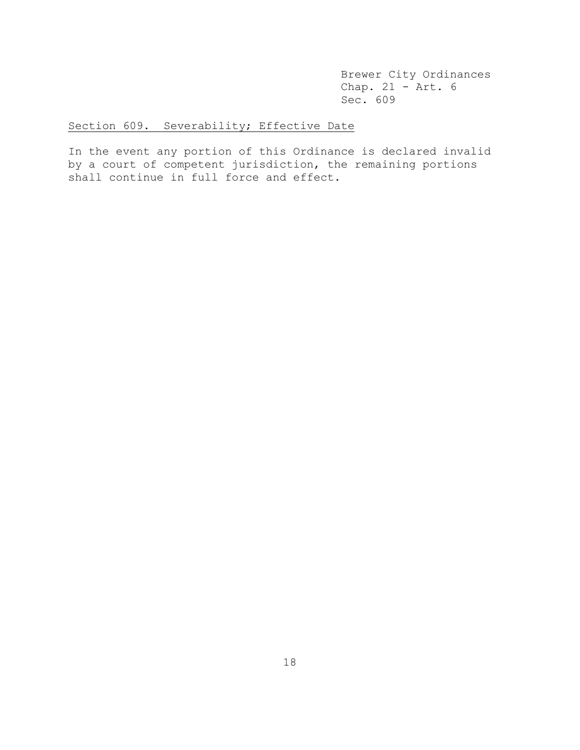Brewer City Ordinances Chap.  $21 - \text{Art. } 6$ Sec. 609

# Section 609. Severability; Effective Date

In the event any portion of this Ordinance is declared invalid by a court of competent jurisdiction, the remaining portions shall continue in full force and effect.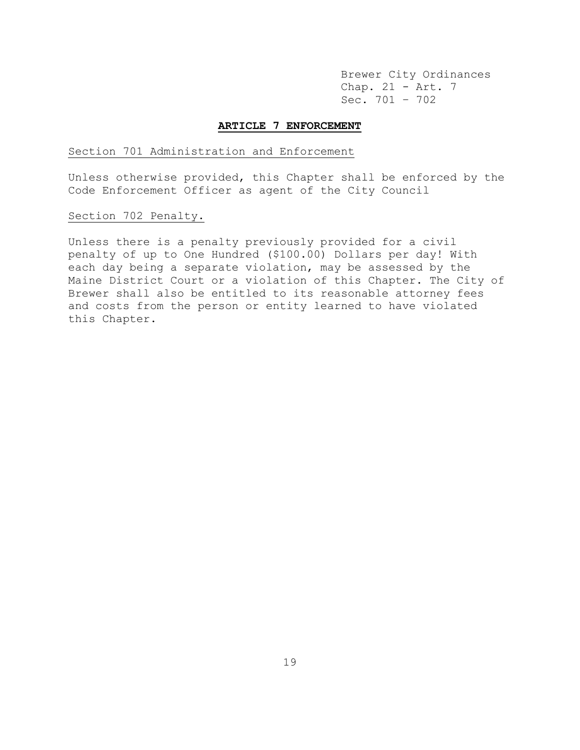Brewer City Ordinances Chap. 21 - Art. 7 Sec. 701 – 702

#### **ARTICLE 7 ENFORCEMENT**

### Section 701 Administration and Enforcement

Unless otherwise provided, this Chapter shall be enforced by the Code Enforcement Officer as agent of the City Council

# Section 702 Penalty.

Unless there is a penalty previously provided for a civil penalty of up to One Hundred (\$100.00) Dollars per day! With each day being a separate violation, may be assessed by the Maine District Court or a violation of this Chapter. The City of Brewer shall also be entitled to its reasonable attorney fees and costs from the person or entity learned to have violated this Chapter.